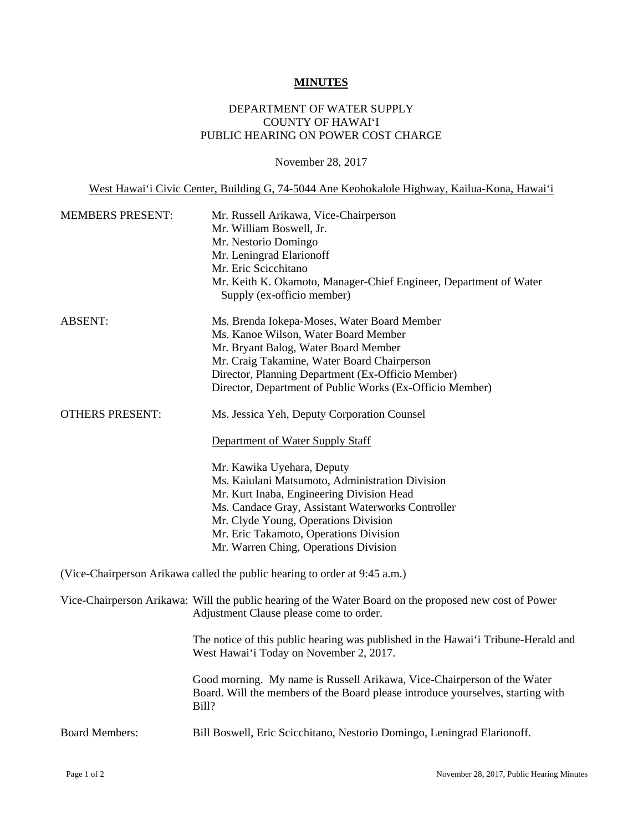## **MINUTES**

## DEPARTMENT OF WATER SUPPLY COUNTY OF HAWAI'I PUBLIC HEARING ON POWER COST CHARGE

November 28, 2017

West Hawai'i Civic Center, Building G, 74-5044 Ane Keohokalole Highway, Kailua-Kona, Hawai'i

| <b>MEMBERS PRESENT:</b> | Mr. Russell Arikawa, Vice-Chairperson<br>Mr. William Boswell, Jr.<br>Mr. Nestorio Domingo<br>Mr. Leningrad Elarionoff<br>Mr. Eric Scicchitano<br>Mr. Keith K. Okamoto, Manager-Chief Engineer, Department of Water<br>Supply (ex-officio member)                                                           |
|-------------------------|------------------------------------------------------------------------------------------------------------------------------------------------------------------------------------------------------------------------------------------------------------------------------------------------------------|
| <b>ABSENT:</b>          | Ms. Brenda Iokepa-Moses, Water Board Member<br>Ms. Kanoe Wilson, Water Board Member<br>Mr. Bryant Balog, Water Board Member<br>Mr. Craig Takamine, Water Board Chairperson<br>Director, Planning Department (Ex-Officio Member)<br>Director, Department of Public Works (Ex-Officio Member)                |
| <b>OTHERS PRESENT:</b>  | Ms. Jessica Yeh, Deputy Corporation Counsel                                                                                                                                                                                                                                                                |
|                         | Department of Water Supply Staff                                                                                                                                                                                                                                                                           |
|                         | Mr. Kawika Uyehara, Deputy<br>Ms. Kaiulani Matsumoto, Administration Division<br>Mr. Kurt Inaba, Engineering Division Head<br>Ms. Candace Gray, Assistant Waterworks Controller<br>Mr. Clyde Young, Operations Division<br>Mr. Eric Takamoto, Operations Division<br>Mr. Warren Ching, Operations Division |
|                         | (Vice-Chairperson Arikawa called the public hearing to order at 9:45 a.m.)                                                                                                                                                                                                                                 |
|                         | Vice-Chairperson Arikawa: Will the public hearing of the Water Board on the proposed new cost of Power<br>Adjustment Clause please come to order.                                                                                                                                                          |
|                         | The notice of this public hearing was published in the Hawai'i Tribune-Herald and<br>West Hawai'i Today on November 2, 2017.                                                                                                                                                                               |
|                         | Good morning. My name is Russell Arikawa, Vice-Chairperson of the Water<br>Board. Will the members of the Board please introduce yourselves, starting with<br>Bill?                                                                                                                                        |
| <b>Board Members:</b>   | Bill Boswell, Eric Scicchitano, Nestorio Domingo, Leningrad Elarionoff.                                                                                                                                                                                                                                    |